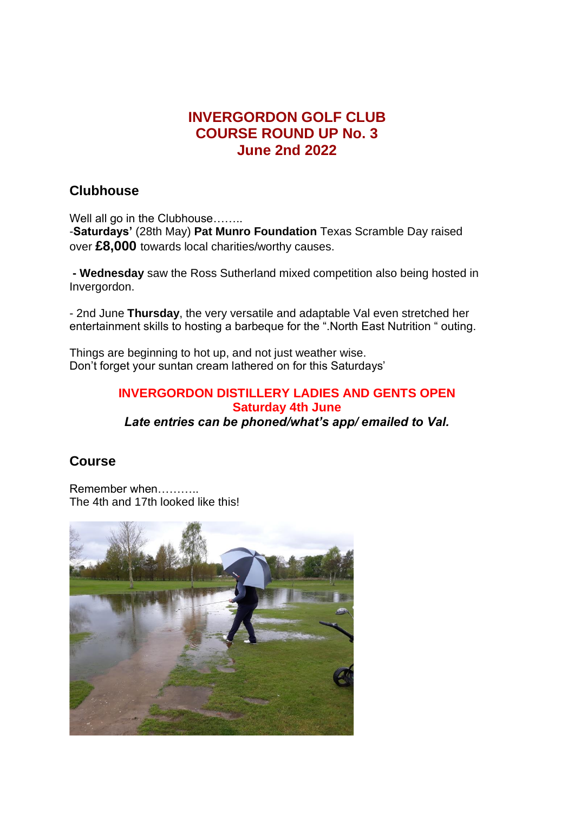# **INVERGORDON GOLF CLUB COURSE ROUND UP No. 3 June 2nd 2022**

## **Clubhouse**

Well all go in the Clubhouse…….

-**Saturdays'** (28th May) **Pat Munro Foundation** Texas Scramble Day raised over **£8,000** towards local charities/worthy causes.

**- Wednesday** saw the Ross Sutherland mixed competition also being hosted in Invergordon.

- 2nd June **Thursday**, the very versatile and adaptable Val even stretched her entertainment skills to hosting a barbeque for the ".North East Nutrition " outing.

Things are beginning to hot up, and not just weather wise. Don't forget your suntan cream lathered on for this Saturdays'

#### **INVERGORDON DISTILLERY LADIES AND GENTS OPEN Saturday 4th June** *Late entries can be phoned/what's app/ emailed to Val.*

# **Course**

Remember when……….. The 4th and 17th looked like this!

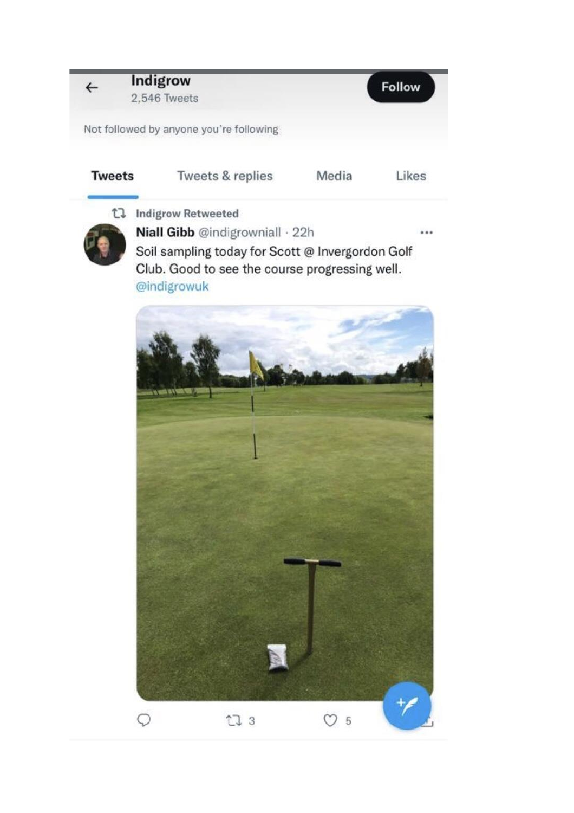## **Indigrow** 2,546 Tweets

Not followed by anyone you're following

| <b>Iweets</b> |
|---------------|
|               |

 $\leftarrow$ 

Tweets & replies Media

Likes

Follow

t] Indigrow Retweeted



Niall Gibb @indigrowniall · 22h  $\cdots$ Soil sampling today for Scott @ Invergordon Golf Club. Good to see the course progressing well. @indigrowuk

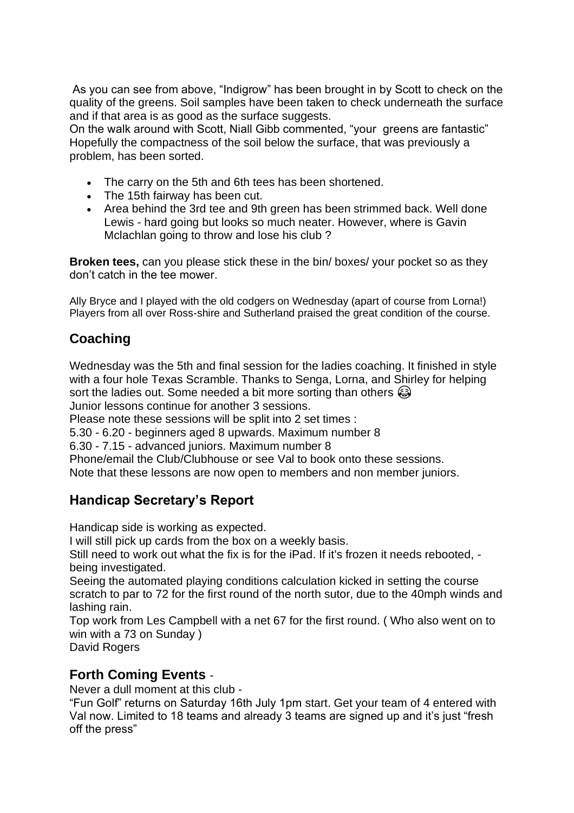As you can see from above, "Indigrow" has been brought in by Scott to check on the quality of the greens. Soil samples have been taken to check underneath the surface and if that area is as good as the surface suggests.

On the walk around with Scott, Niall Gibb commented, "your greens are fantastic" Hopefully the compactness of the soil below the surface, that was previously a problem, has been sorted.

- The carry on the 5th and 6th tees has been shortened.
- The 15th fairway has been cut.
- Area behind the 3rd tee and 9th green has been strimmed back. Well done Lewis - hard going but looks so much neater. However, where is Gavin Mclachlan going to throw and lose his club ?

**Broken tees,** can you please stick these in the bin/ boxes/ your pocket so as they don't catch in the tee mower.

Ally Bryce and I played with the old codgers on Wednesday (apart of course from Lorna!) Players from all over Ross-shire and Sutherland praised the great condition of the course.

# **Coaching**

Wednesday was the 5th and final session for the ladies coaching. It finished in style with a four hole Texas Scramble. Thanks to Senga, Lorna, and Shirley for helping sort the ladies out. Some needed a bit more sorting than others  $\bigcirc$ Junior lessons continue for another 3 sessions.

Please note these sessions will be split into 2 set times :

5.30 - 6.20 - beginners aged 8 upwards. Maximum number 8

6.30 - 7.15 - advanced juniors. Maximum number 8

Phone/email the Club/Clubhouse or see Val to book onto these sessions.

Note that these lessons are now open to members and non member juniors.

### **Handicap Secretary's Report**

Handicap side is working as expected.

I will still pick up cards from the box on a weekly basis.

Still need to work out what the fix is for the iPad. If it's frozen it needs rebooted, being investigated.

Seeing the automated playing conditions calculation kicked in setting the course scratch to par to 72 for the first round of the north sutor, due to the 40mph winds and lashing rain.

Top work from Les Campbell with a net 67 for the first round. ( Who also went on to win with a 73 on Sunday )

David Rogers

#### **Forth Coming Events** -

Never a dull moment at this club -

"Fun Golf" returns on Saturday 16th July 1pm start. Get your team of 4 entered with Val now. Limited to 18 teams and already 3 teams are signed up and it's just "fresh off the press"